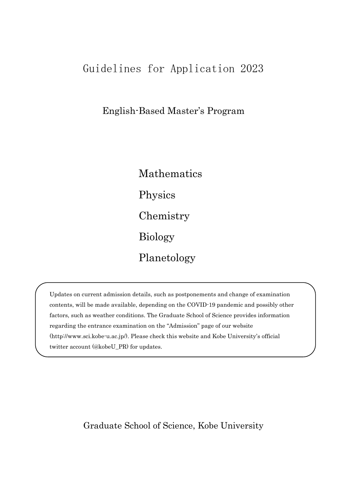# Guidelines for Application 2023

English-Based Master's Program

Mathematics Physics Chemistry Biology Planetology

Updates on current admission details, such as postponements and change of examination contents, will be made available, depending on the COVID-19 pandemic and possibly other factors, such as weather conditions. The Graduate School of Science provides information regarding the entrance examination on the "Admission" page of our website (http://www.sci.kobe-u.ac.jp/). Please check this website and Kobe University's official twitter account (@kobeU\_PR) for updates.

Graduate School of Science, Kobe University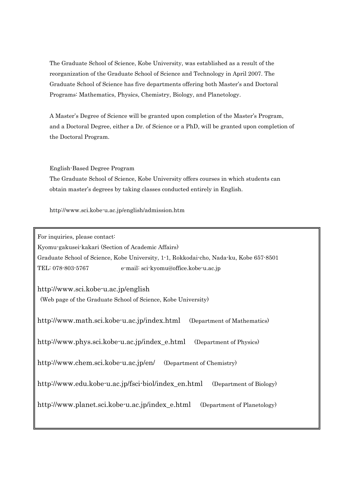The Graduate School of Science, Kobe University, was established as a result of the reorganization of the Graduate School of Science and Technology in April 2007. The Graduate School of Science has five departments offering both Master's and Doctoral Programs: Mathematics, Physics, Chemistry, Biology, and Planetology.

A Master's Degree of Science will be granted upon completion of the Master's Program, and a Doctoral Degree, either a Dr. of Science or a PhD, will be granted upon completion of the Doctoral Program.

English-Based Degree Program

The Graduate School of Science, Kobe University offers courses in which students can obtain master's degrees by taking classes conducted entirely in English.

[http://www.](http://www/)sci.kobe-u.ac.jp/english/admission.htm

For inquiries, please contact:

Kyomu-gakusei-kakari (Section of Academic Affairs)

Graduate School of Science, Kobe University, 1-1, Rokkodai-cho, Nada-ku, Kobe 657-8501 TEL: 078-803-5767 e-mail: sci-kyomu@office.kobe-u.ac.jp

http://www.sci.kobe-u.ac.jp/english (Web page of the Graduate School of Science, Kobe University)

http://www.math.sci.kobe-u.ac.jp/index.html (Department of Mathematics)

http://www.phys.sci.kobe-u.ac.jp/index\_e.html (Department of Physics)

http://www.chem.sci.kobe-u.ac.jp/en/ (Department of Chemistry)

http://www.edu.kobe-u.ac.jp/fsci-biol/index\_en.html (Department of Biology)

http://www.planet.sci.kobe-u.ac.jp/index\_e.html (Department of Planetology)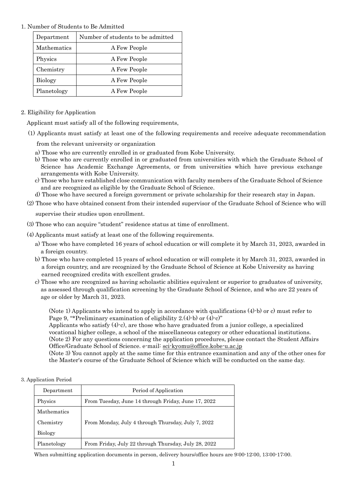# 1. Number of Students to Be Admitted

| Department     | Number of students to be admitted |
|----------------|-----------------------------------|
| Mathematics    | A Few People                      |
| Physics        | A Few People                      |
| Chemistry      | A Few People                      |
| <b>Biology</b> | A Few People                      |
| Planetology    | A Few People                      |

# 2. Eligibility for Application

Applicant must satisfy all of the following requirements,

(1) Applicants must satisfy at least one of the following requirements and receive adequate recommendation

from the relevant university or organization

- a) Those who are currently enrolled in or graduated from Kobe University.
- b) Those who are currently enrolled in or graduated from universities with which the Graduate School of Science has Academic Exchange Agreements, or from universities which have previous exchange arrangements with Kobe University.
- c) Those who have established close communication with faculty members of the Graduate School of Science and are recognized as eligible by the Graduate School of Science.
- d) Those who have secured a foreign government or private scholarship for their research stay in Japan.
- (2) Those who have obtained consent from their intended supervisor of the Graduate School of Science who will

supervise their studies upon enrollment.

- (3) Those who can acquire "student" residence status at time of enrollment.
- (4) Applicants must satisfy at least one of the following requirements.
	- a) Those who have completed 16 years of school education or will complete it by March 31, 2023, awarded in a foreign country.
	- b) Those who have completed 15 years of school education or will complete it by March 31, 2023, awarded in a foreign country, and are recognized by the Graduate School of Science at Kobe University as having earned recognized credits with excellent grades.
	- c) Those who are recognized as having scholastic abilities equivalent or superior to graduates of university, as assessed through qualification screening by the Graduate School of Science, and who are 22 years of age or older by March 31, 2023.

(Note 1) Applicants who intend to apply in accordance with qualifications (4)-b) or c) must refer to Page 9, "\*Preliminary examination of eligibility 2.(4)-b) or (4)-c)"

Applicants who satisfy (4)-c), are those who have graduated from a junior college, a specialized vocational higher college, a school of the miscellaneous category or other educational institutions. (Note 2) For any questions concerning the application procedures, please contact the Student Affairs Office/Graduate School of Science. e-mail: [sci-kyomu@office.kobe-u.ac.](mailto:sci-kyomu@office.kobe-u.ac)jp

(Note 3) You cannot apply at the same time for this entrance examination and any of the other ones for the Master's course of the Graduate School of Science which will be conducted on the same day.

#### 3. Application Period

| Department  | Period of Application                                |  |  |
|-------------|------------------------------------------------------|--|--|
| Physics     | From Tuesday, June 14 through Friday, June 17, 2022  |  |  |
| Mathematics |                                                      |  |  |
| Chemistry   | From Monday, July 4 through Thursday, July 7, 2022   |  |  |
| Biology     |                                                      |  |  |
| Planetology | From Friday, July 22 through Thursday, July 28, 2022 |  |  |

When submitting application documents in person, delivery hours/office hours are 9:00-12:00, 13:00-17:00.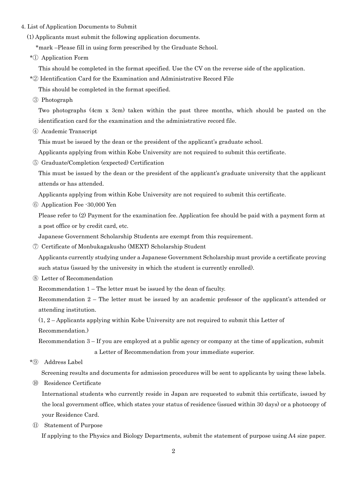- 4. List of Application Documents to Submit
	- (1) Applicants must submit the following application documents.
		- \*mark –Please fill in using form prescribed by the Graduate School.
	- \*① Application Form

This should be completed in the format specified. Use the CV on the reverse side of the application.

\*② Identification Card for the Examination and Administrative Record File

This should be completed in the format specified.

③ Photograph

 Two photographs (4cm x 3cm) taken within the past three months, which should be pasted on the identification card for the examination and the administrative record file.

④ Academic Transcript

This must be issued by the dean or the president of the applicant's graduate school.

Applicants applying from within Kobe University are not required to submit this certificate.

⑤ Graduate/Completion (expected) Certification

 This must be issued by the dean or the president of the applicant's graduate university that the applicant attends or has attended.

Applicants applying from within Kobe University are not required to submit this certificate.

⑥ Application Fee -30,000 Yen

 Please refer to (2) Payment for the examination fee. Application fee should be paid with a payment form at a post office or by credit card, etc.

Japanese Government Scholarship Students are exempt from this requirement.

⑦ Certificate of Monbukagakusho (MEXT) Scholarship Student

 Applicants currently studying under a Japanese Government Scholarship must provide a certificate proving such status (issued by the university in which the student is currently enrolled).

⑧ Letter of Recommendation

Recommendation 1 – The letter must be issued by the dean of faculty.

 Recommendation 2 – The letter must be issued by an academic professor of the applicant's attended or attending institution.

(1, 2 – Applicants applying within Kobe University are not required to submit this Letter of

Recommendation.)

 Recommendation 3 – If you are employed at a public agency or company at the time of application, submit a Letter of Recommendation from your immediate superior.

\*⑨ Address Label

Screening results and documents for admission procedures will be sent to applicants by using these labels.

⑩ Residence Certificate

International students who currently reside in Japan are requested to submit this certificate, issued by the local government office, which states your status of residence (issued within 30 days) or a photocopy of your Residence Card.

⑪ Statement of Purpose

If applying to the Physics and Biology Departments, submit the statement of purpose using A4 size paper.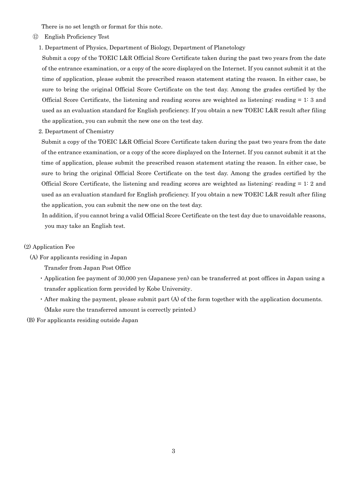There is no set length or format for this note.

- ⑫ English Proficiency Test
	- 1. Department of Physics, Department of Biology, Department of Planetology

 Submit a copy of the TOEIC L&R Official Score Certificate taken during the past two years from the date of the entrance examination, or a copy of the score displayed on the Internet. If you cannot submit it at the time of application, please submit the prescribed reason statement stating the reason. In either case, be sure to bring the original Official Score Certificate on the test day. Among the grades certified by the Official Score Certificate, the listening and reading scores are weighted as listening: reading = 1: 3 and used as an evaluation standard for English proficiency. If you obtain a new TOEIC L&R result after filing the application, you can submit the new one on the test day.

2. Department of Chemistry

 Submit a copy of the TOEIC L&R Official Score Certificate taken during the past two years from the date of the entrance examination, or a copy of the score displayed on the Internet. If you cannot submit it at the time of application, please submit the prescribed reason statement stating the reason. In either case, be sure to bring the original Official Score Certificate on the test day. Among the grades certified by the Official Score Certificate, the listening and reading scores are weighted as listening: reading = 1: 2 and used as an evaluation standard for English proficiency. If you obtain a new TOEIC L&R result after filing the application, you can submit the new one on the test day.

In addition, if you cannot bring a valid Official Score Certificate on the test day due to unavoidable reasons, you may take an English test.

#### (2) Application Fee

- (A) For applicants residing in Japan
	- Transfer from Japan Post Office
	- ・Application fee payment of 30,000 yen (Japanese yen) can be transferred at post offices in Japan using a transfer application form provided by Kobe University.
	- ・After making the payment, please submit part (A) of the form together with the application documents. (Make sure the transferred amount is correctly printed.)
- (B) For applicants residing outside Japan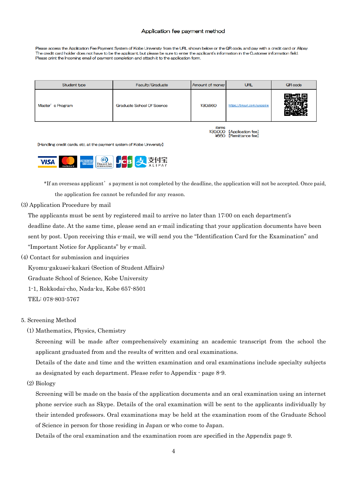#### Application fee payment method

Please access the Application Fee Payment System of Kobe University from the URL shown below or the QR code, and pay with a credit card or Alipay. The credit card holder does not have to be the applicant, but please be sure to enter the applicant's information in the Customer information field. Please print the Incoming email of payment completion and attach it to the application form

| Student type                                                      | <b>Faculty/Graduate</b> |         | URL<br>Amount of money       | QR code |
|-------------------------------------------------------------------|-------------------------|---------|------------------------------|---------|
| <b>Graduate School Of Science</b><br>Master's Program             |                         | ¥30,660 | https://tinyurl.com/yyspa5le |         |
| items<br>[Application fee]<br>¥30,000<br>[Remittance fee]<br>4660 |                         |         |                              |         |

[Handling credit cards, etc. at the payment system of Kobe University]

| 74 |  |  | $th$<br><b>TERNATIONAL</b> |  | ╼ | т.<br>ΑY |
|----|--|--|----------------------------|--|---|----------|
|----|--|--|----------------------------|--|---|----------|

 \*If an overseas applicant's payment is not completed by the deadline, the application will not be accepted. Once paid, the application fee cannot be refunded for any reason.

(3) Application Procedure by mail

The applicants must be sent by registered mail to arrive no later than 17:00 on each department's deadline date. At the same time, please send an e-mail indicating that your application documents have been sent by post. Upon receiving this e-mail, we will send you the "Identification Card for the Examination" and "Important Notice for Applicants" by e-mail.

(4) Contact for submission and inquiries

Kyomu-gakusei-kakari (Section of Student Affairs)

- Graduate School of Science, Kobe University
- 1-1, Rokkodai-cho, Nada-ku, Kobe 657-8501

TEL: 078-803-5767

- 5. Screening Method
	- (1) Mathematics, Physics, Chemistry

 Screening will be made after comprehensively examining an academic transcript from the school the applicant graduated from and the results of written and oral examinations.

 Details of the date and time and the written examination and oral examinations include specialty subjects as designated by each department. Please refer to Appendix - page 8-9.

(2) Biology

 Screening will be made on the basis of the application documents and an oral examination using an internet phone service such as Skype. Details of the oral examination will be sent to the applicants individually by their intended professors. Oral examinations may be held at the examination room of the Graduate School of Science in person for those residing in Japan or who come to Japan.

Details of the oral examination and the examination room are specified in the Appendix page 9.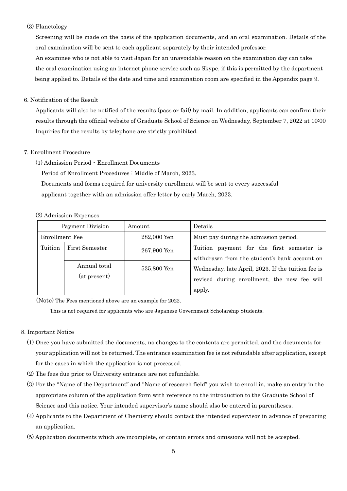#### (3) Planetology

 Screening will be made on the basis of the application documents, and an oral examination. Details of the oral examination will be sent to each applicant separately by their intended professor.

 An examinee who is not able to visit Japan for an unavoidable reason on the examination day can take the oral examination using an internet phone service such as Skype, if this is permitted by the department being applied to. Details of the date and time and examination room are specified in the Appendix page 9.

#### 6. Notification of the Result

 Applicants will also be notified of the results (pass or fail) by mail. In addition, applicants can confirm their results through the official website of Graduate School of Science on Wednesday, September 7, 2022 at 10:00 Inquiries for the results by telephone are strictly prohibited.

#### 7. Enrollment Procedure

(1) Admission Period・Enrollment Documents

Period of Enrollment Procedures : Middle of March, 2023.

Documents and forms required for university enrollment will be sent to every successful

applicant together with an admission offer letter by early March, 2023.

#### (2) Admission Expenses

| Payment Division |                              | Amount      | Details                                                                                                     |
|------------------|------------------------------|-------------|-------------------------------------------------------------------------------------------------------------|
| Enrollment Fee   |                              | 282,000 Yen | Must pay during the admission period.                                                                       |
| Tuition          | First Semester               | 267,900 Yen | Tuition payment for the first semester is<br>withdrawn from the student's bank account on                   |
|                  | Annual total<br>(at present) | 535,800 Yen | Wednesday, late April, 2023. If the tuition fee is<br>revised during enrollment, the new fee will<br>apply. |

(Note) The Fees mentioned above are an example for 2022.

This is not required for applicants who are Japanese Government Scholarship Students.

#### 8. Important Notice

- (1) Once you have submitted the documents, no changes to the contents are permitted, and the documents for your application will not be returned. The entrance examination fee is not refundable after application, except for the cases in which the application is not processed.
- (2) The fees due prior to University entrance are not refundable.
- (3) For the "Name of the Department" and "Name of research field" you wish to enroll in, make an entry in the appropriate column of the application form with reference to the introduction to the Graduate School of Science and this notice. Your intended supervisor's name should also be entered in parentheses.
- (4) Applicants to the Department of Chemistry should contact the intended supervisor in advance of preparing an application.
- (5) Application documents which are incomplete, or contain errors and omissions will not be accepted.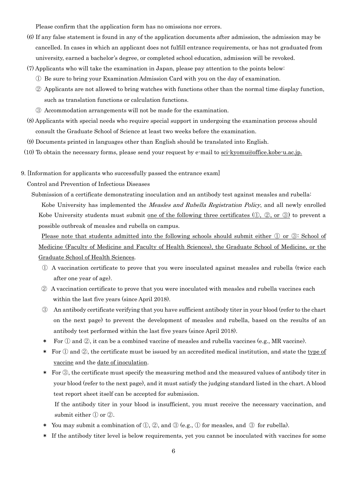Please confirm that the application form has no omissions nor errors.

- (6) If any false statement is found in any of the application documents after admission, the admission may be cancelled. In cases in which an applicant does not fulfill entrance requirements, or has not graduated from university, earned a bachelor's degree, or completed school education, admission will be revoked.
- (7) Applicants who will take the examination in Japan, please pay attention to the points below:
	- ① Be sure to bring your Examination Admission Card with you on the day of examination.
	- ② Applicants are not allowed to bring watches with functions other than the normal time display function, such as translation functions or calculation functions.
	- ③ Accommodation arrangements will not be made for the examination.
- (8) Applicants with special needs who require special support in undergoing the examination process should consult the Graduate School of Science at least two weeks before the examination.
- (9) Documents printed in languages other than English should be translated into English.
- (10) To obtain the necessary forms, please send your request by e-mail to [sci-kyomu@office.kobe-u.ac.jp.](mailto:sci-kyomu@office.kobe-u.ac.jp.)
- 9. [Information for applicants who successfully passed the entrance exam]

Control and Prevention of Infectious Diseases

Submission of a certificate demonstrating inoculation and an antibody test against measles and rubella: Kobe University has implemented the *Measles and Rubella Registration Policy*, and all newly enrolled Kobe University students must submit <u>one of the following three certificates  $(0, 2, or 3)$ </u> to prevent a possible outbreak of measles and rubella on campus.

Please note that students admitted into the following schools should submit either  $\mathbb D$  or  $\mathbb D$ : School of Medicine (Faculty of Medicine and Faculty of Health Sciences), the Graduate School of Medicine, or the Graduate School of Health Sciences.

- ① A vaccination certificate to prove that you were inoculated against measles and rubella (twice each after one year of age).
- ② A vaccination certificate to prove that you were inoculated with measles and rubella vaccines each within the last five years (since April 2018).
- ③ An antibody certificate verifying that you have sufficient antibody titer in your blood (refer to the chart on the next page) to prevent the development of measles and rubella, based on the results of an antibody test performed within the last five years (since April 2018).
- For  $\mathbb D$  and  $\mathbb Q$ , it can be a combined vaccine of measles and rubella vaccines (e.g., MR vaccine).
- \* For  $\overline{1}$  and  $\overline{2}$ , the certificate must be issued by an accredited medical institution, and state the type of vaccine and the date of inoculation.
- \* For ③, the certificate must specify the measuring method and the measured values of antibody titer in your blood (refer to the next page), and it must satisfy the judging standard listed in the chart. A blood test report sheet itself can be accepted for submission.
	- If the antibody titer in your blood is insufficient, you must receive the necessary vaccination, and submit either ① or ②.
- \* You may submit a combination of  $(1, 2)$ , and  $(3)$  (e.g.,  $(1)$  for measles, and  $(3)$  for rubella).
- \* If the antibody titer level is below requirements, yet you cannot be inoculated with vaccines for some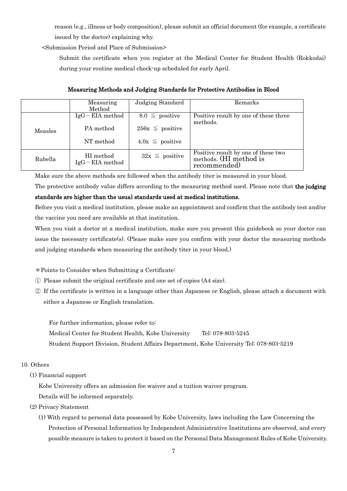reason (e.g., illness or body composition), please submit an official document (for example, a certificate issued by the doctor) explaining why.

<Submission Period and Place of Submission>

Submit the certificate when you register at the Medical Center for Student Health (Rokkodai) during your routine medical check-up scheduled for early April.

|         | Measuring<br>Method | Judging Standard     | Remarks                               |
|---------|---------------------|----------------------|---------------------------------------|
|         |                     |                      |                                       |
|         | $IgG-EIA$ method    | $8.0 \leq$ positive  | Positive result by one of these three |
|         |                     |                      | methods.                              |
| Measles | PA method           | $256x \leq$ positive |                                       |
|         |                     |                      |                                       |
|         |                     |                      |                                       |
|         | NT method           | $4.0x \leq$ positive |                                       |
|         |                     |                      |                                       |
| Rubella | HI method           |                      | Positive result by one of these two   |
|         |                     | $32x \leq$ positive  | methods. (HI method is                |
|         | $IgG-ELA$ method    |                      | recommended)                          |
|         |                     |                      |                                       |

Measuring Methods and Judging Standards for Protective Antibodies in Blood

Make sure the above methods are followed when the antibody titer is measured in your blood.

The protective antibody value differs according to the measuring method used. Please note that the judging

# standards are higher than the usual standards used at medical institutions.

Before you visit a medical institution, please make an appointment and confirm that the antibody test and/or the vaccine you need are available at that institution.

When you visit a doctor at a medical institution, make sure you present this guidebook so your doctor can issue the necessary certificate(s). (Please make sure you confirm with your doctor the measuring methods and judging standards when measuring the antibody titer in your blood.)

\*Points to Consider when Submitting a Certificate:

- ① Please submit the original certificate and one set of copies (A4 size).
- ② If the certificate is written in a language other than Japanese or English, please attach a document with either a Japanese or English translation.

For further information, please refer to: Medical Center for Student Health, Kobe University Tel: 078-803-5245 Student Support Division, Student Affairs Department, Kobe University Tel: 078-803-5219

#### 10. Others

(1) Financial support

Kobe University offers an admission fee waiver and a tuition waiver program.

Details will be informed separately.

- (2) Privacy Statement
	- (1) With regard to personal data possessed by Kobe University, laws including the Law Concerning the Protection of Personal Information by Independent Administrative Institutions are observed, and every possible measure is taken to protect it based on the Personal Data Management Rules of Kobe University.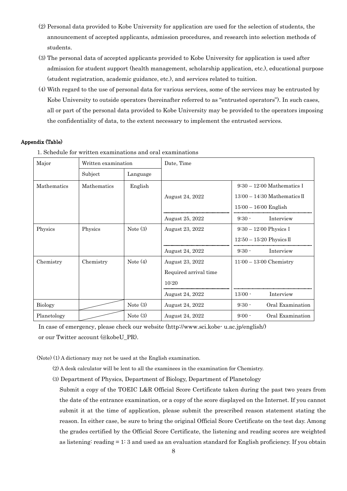- (2) Personal data provided to Kobe University for application are used for the selection of students, the announcement of accepted applicants, admission procedures, and research into selection methods of students.
- (3) The personal data of accepted applicants provided to Kobe University for application is used after admission for student support (health management, scholarship application, etc.), educational purpose (student registration, academic guidance, etc.), and services related to tuition.
- (4) With regard to the use of personal data for various services, some of the services may be entrusted by Kobe University to outside operators (hereinafter referred to as "entrusted operators"). In such cases, all or part of the personal data provided to Kobe University may be provided to the operators imposing the confidentiality of data, to the extent necessary to implement the entrusted services.

#### Appendix (Table)

| Major       | Written examination |            | Date, Time            |                           |                              |
|-------------|---------------------|------------|-----------------------|---------------------------|------------------------------|
|             | Subject             | Language   |                       |                           |                              |
| Mathematics | <b>Mathematics</b>  | English    |                       |                           | $9:30-12:00$ Mathematics I   |
|             |                     |            | August 24, 2022       |                           | $13:00-14:30$ Mathematics II |
|             |                     |            |                       | $15:00 - 16:00$ English   |                              |
|             |                     |            | August 25, 2022       | $9:30 -$                  | Interview                    |
| Physics     | Physics             | Note $(3)$ | August 23, 2022       | $9:30 - 12:00$ Physics I  |                              |
|             |                     |            |                       |                           | $12:50-15:20$ Physics II     |
|             |                     |            | August 24, 2022       | $9:30 -$                  | Interview                    |
| Chemistry   | Chemistry           | Note $(4)$ | August 23, 2022       | $11:00 - 13:00$ Chemistry |                              |
|             |                     |            | Required arrival time |                           |                              |
|             |                     |            | 10:20                 |                           |                              |
|             |                     |            | August 24, 2022       | $13:00 -$                 | Interview                    |
| Biology     |                     | Note $(3)$ | August 24, 2022       | $9:30 -$                  | Oral Examination             |
| Planetology |                     | Note $(3)$ | August 24, 2022       | $9:00 -$                  | Oral Examination             |

1. Schedule for written examinations and oral examinations

In case of emergency, please check our website (http://www.sci.kobe- u.ac.jp/english/) or our Twitter account (@kobeU\_PR).

(Note) (1) A dictionary may not be used at the English examination.

- (2) A desk calculator will be lent to all the examinees in the examination for Chemistry.
- (3) Department of Physics, Department of Biology, Department of Planetology

 Submit a copy of the TOEIC L&R Official Score Certificate taken during the past two years from the date of the entrance examination, or a copy of the score displayed on the Internet. If you cannot submit it at the time of application, please submit the prescribed reason statement stating the reason. In either case, be sure to bring the original Official Score Certificate on the test day. Among the grades certified by the Official Score Certificate, the listening and reading scores are weighted as listening: reading = 1: 3 and used as an evaluation standard for English proficiency. If you obtain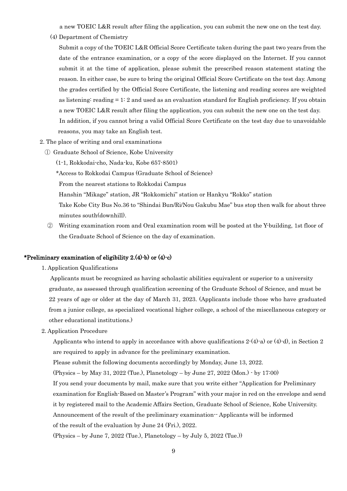a new TOEIC L&R result after filing the application, you can submit the new one on the test day.

(4) Department of Chemistry

 Submit a copy of the TOEIC L&R Official Score Certificate taken during the past two years from the date of the entrance examination, or a copy of the score displayed on the Internet. If you cannot submit it at the time of application, please submit the prescribed reason statement stating the reason. In either case, be sure to bring the original Official Score Certificate on the test day. Among the grades certified by the Official Score Certificate, the listening and reading scores are weighted as listening: reading  $= 1: 2$  and used as an evaluation standard for English proficiency. If you obtain a new TOEIC L&R result after filing the application, you can submit the new one on the test day. In addition, if you cannot bring a valid Official Score Certificate on the test day due to unavoidable reasons, you may take an English test.

- 2. The place of writing and oral examinations
	- ① Graduate School of Science, Kobe University
		- (1-1, Rokkodai-cho, Nada-ku, Kobe 657-8501)
		- \*Access to Rokkodai Campus (Graduate School of Science)
		- From the nearest stations to Rokkodai Campus
		- Hanshin "Mikage" station, JR "Rokkomichi" station or Hankyu "Rokko" station
		- Take Kobe City Bus No.36 to "Shindai Bun/Ri/Nou Gakubu Mae" bus stop then walk for about three minutes south(downhill).
	- ② Writing examination room and Oral examination room will be posted at the Y-building, 1st floor of the Graduate School of Science on the day of examination.

#### \*Preliminary examination of eligibility 2.(4)-b) or (4)-c)

1. Application Qualifications

Applicants must be recognized as having scholastic abilities equivalent or superior to a university graduate, as assessed through qualification screening of the Graduate School of Science, and must be 22 years of age or older at the day of March 31, 2023. (Applicants include those who have graduated from a junior college, as specialized vocational higher college, a school of the miscellaneous category or other educational institutions.)

2. Application Procedure

Applicants who intend to apply in accordance with above qualifications  $2-(4)$ -a) or  $(4)$ -d), in Section 2 are required to apply in advance for the preliminary examination.

Please submit the following documents accordingly by Monday, June 13, 2022.

(Physics – by May 31, 2022 (Tue.), Planetology – by June 27, 2022 (Mon.) - by 17:00)

If you send your documents by mail, make sure that you write either "Application for Preliminary

examination for English-Based on Master's Program" with your major in red on the envelope and send

it by registered mail to the Academic Affairs Section, Graduate School of Science, Kobe University.

Announcement of the result of the preliminary examination-- Applicants will be informed

of the result of the evaluation by June 24 (Fri.), 2022.

 $(Physics - by June 7, 2022 (True.)$ ,  $Planetology - by July 5, 2022 (True.)$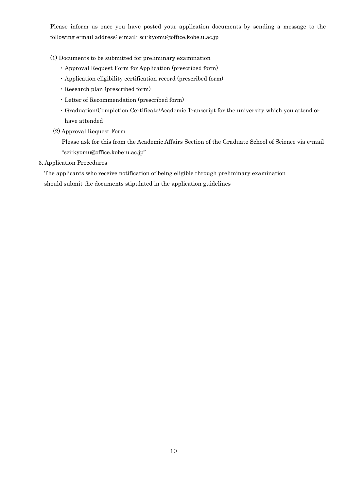Please inform us once you have posted your application documents by sending a message to the following e-mail address: e-mail- sci-kyomu@office.kobe.u.ac.jp

- (1) Documents to be submitted for preliminary examination
	- ・Approval Request Form for Application (prescribed form)
	- ・Application eligibility certification record (prescribed form)
	- ・Research plan (prescribed form)
	- ・Letter of Recommendation (prescribed form)
	- ・Graduation/Completion Certificate/Academic Transcript for the university which you attend or have attended
- (2) Approval Request Form

 Please ask for this from the Academic Affairs Section of the Graduate School of Science via e-mail "sci-kyomu@office.kobe-u.ac.jp"

3. Application Procedures

 The applicants who receive notification of being eligible through preliminary examination should submit the documents stipulated in the application guidelines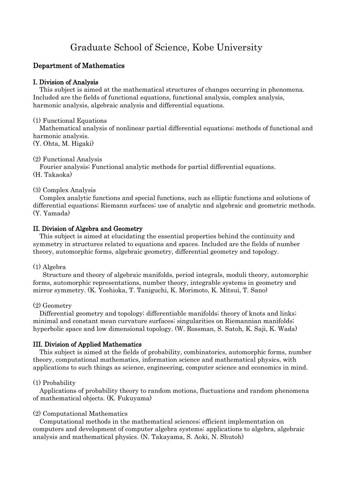# Graduate School of Science, Kobe University

# Department of Mathematics

# I. Division of Analysis

 This subject is aimed at the mathematical structures of changes occurring in phenomena. Included are the fields of functional equations, functional analysis, complex analysis, harmonic analysis, algebraic analysis and differential equations.

# (1) Functional Equations

 Mathematical analysis of nonlinear partial differential equations; methods of functional and harmonic analysis.

(Y. Ohta, M. Higaki)

# (2) Functional Analysis

 Fourier analysis; Functional analytic methods for partial differential equations. (H. Takaoka)

# (3) Complex Analysis

 Complex analytic functions and special functions, such as elliptic functions and solutions of differential equations; Riemann surfaces; use of analytic and algebraic and geometric methods. (Y. Yamada)

# II. Division of Algebra and Geometry

 This subject is aimed at elucidating the essential properties behind the continuity and symmetry in structures related to equations and spaces. Included are the fields of number theory, automorphic forms, algebraic geometry, differential geometry and topology.

# (1) Algebra

 Structure and theory of algebraic manifolds, period integrals, moduli theory, automorphic forms, automorphic representations, number theory, integrable systems in geometry and mirror symmetry. (K. Yoshioka, T. Taniguchi, K. Morimoto, K. Mitsui, T. Sano)

# (2) Geometry

 Differential geometry and topology; differentiable manifolds; theory of knots and links; minimal and constant mean curvature surfaces; singularities on Riemannian manifolds; hyperbolic space and low dimensional topology. (W. Rossman, S. Satoh, K. Saji, K. Wada)

# III. Division of Applied Mathematics

 This subject is aimed at the fields of probability, combinatorics, automorphic forms, number theory, computational mathematics, information science and mathematical physics, with applications to such things as science, engineering, computer science and economics in mind.

# (1) Probability

 Applications of probability theory to random motions, fluctuations and random phenomena of mathematical objects. (K. Fukuyama)

# (2) Computational Mathematics

 Computational methods in the mathematical sciences; efficient implementation on computers and development of computer algebra systems; applications to algebra, algebraic analysis and mathematical physics. (N. Takayama, S. Aoki, N. Shutoh)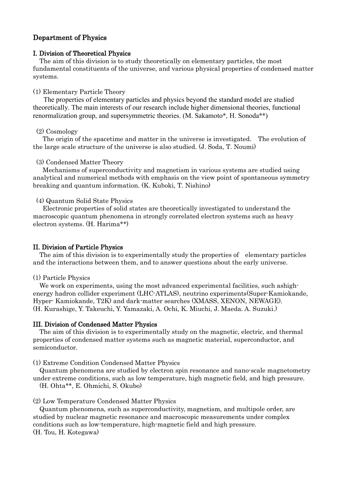# Department of Physics

## I. Division of Theoretical Physics

The aim of this division is to study theoretically on elementary particles, the most fundamental constituents of the universe, and various physical properties of condensed matter systems.

## (1) Elementary Particle Theory

 The properties of elementary particles and physics beyond the standard model are studied theoretically. The main interests of our research include higher dimensional theories, functional renormalization group, and supersymmetric theories. (M. Sakamoto\*, H. Sonoda\*\*)

#### (2) Cosmology

 The origin of the spacetime and matter in the universe is investigated. The evolution of the large scale structure of the universe is also studied. (J. Soda, T. Noumi)

#### (3) Condensed Matter Theory

 Mechanisms of superconductivity and magnetism in various systems are studied using analytical and numerical methods with emphasis on the view point of spontaneous symmetry breaking and quantum information. (K. Kuboki, T. Nishino)

(4) Quantum Solid State Physics

 Electronic properties of solid states are theoretically investigated to understand the macroscopic quantum phenomena in strongly correlated electron systems such as heavy electron systems. (H. Harima\*\*)

## II. Division of Particle Physics

 The aim of this division is to experimentally study the properties of elementary particles and the interactions between them, and to answer questions about the early universe.

(1) Particle Physics

We work on experiments, using the most advanced experimental facilities, such ashighenergy hadron collider experiment (LHC-ATLAS), neutrino experiments(Super-Kamiokande, Hyper- Kamiokande, T2K) and dark-matter searches (XMASS, XENON, NEWAGE). (H. Kurashige, Y. Takeuchi, Y. Yamazaki, A. Ochi, K. Miuchi, J. Maeda. A. Suzuki.)

## III. Division of Condensed Matter Physics

The aim of this division is to experimentally study on the magnetic, electric, and thermal properties of condensed matter systems such as magnetic material, superconductor, and semiconductor.

(1) Extreme Condition Condensed Matter Physics

Quantum phenomena are studied by electron spin resonance and nano-scale magnetometry under extreme conditions, such as low temperature, high magnetic field, and high pressure. (H. Ohta\*\*, E. Ohmichi, S. Okubo)

(2) Low Temperature Condensed Matter Physics

 Quantum phenomena, such as superconductivity, magnetism, and multipole order, are studied by nuclear magnetic resonance and macroscopic measurements under complex conditions such as low-temperature, high-magnetic field and high pressure. (H. Tou, H. Kotegawa)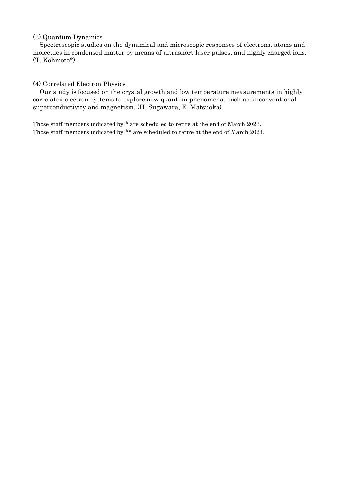# (3) Quantum Dynamics

 Spectroscopic studies on the dynamical and microscopic responses of electrons, atoms and molecules in condensed matter by means of ultrashort laser pulses, and highly charged ions. (T. Kohmoto\*)

# (4) Correlated Electron Physics

 Our study is focused on the crystal growth and low temperature measurements in highly correlated electron systems to explore new quantum phenomena, such as unconventional superconductivity and magnetism. (H. Sugawara, E. Matsuoka)

Those staff members indicated by \* are scheduled to retire at the end of March 2023. Those staff members indicated by \*\* are scheduled to retire at the end of March 2024.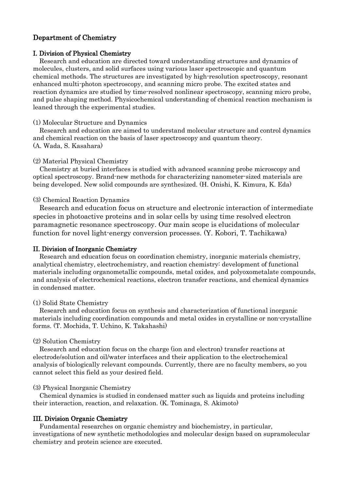# Department of Chemistry

#### I. Division of Physical Chemistry

 Research and education are directed toward understanding structures and dynamics of molecules, clusters, and solid surfaces using various laser spectroscopic and quantum chemical methods. The structures are investigated by high-resolution spectroscopy, resonant enhanced multi-photon spectroscopy, and scanning micro probe. The excited states and reaction dynamics are studied by time-resolved nonlinear spectroscopy, scanning micro probe, and pulse shaping method. Physicochemical understanding of chemical reaction mechanism is leaned through the experimental studies.

#### (1) Molecular Structure and Dynamics

 Research and education are aimed to understand molecular structure and control dynamics and chemical reaction on the basis of laser spectroscopy and quantum theory. (A. Wada, S. Kasahara)

#### (2) Material Physical Chemistry

 Chemistry at buried interfaces is studied with advanced scanning probe microscopy and optical spectroscopy. Brand-new methods for characterizing nanometer-sized materials are being developed. New solid compounds are synthesized. (H. Onishi, K. Kimura, K. Eda)

#### (3) Chemical Reaction Dynamics

 Research and education focus on structure and electronic interaction of intermediate species in photoactive proteins and in solar cells by using time resolved electron paramagnetic resonance spectroscopy. Our main scope is elucidations of molecular function for novel light-energy conversion processes. (Y. Kobori, T. Tachikawa)

### II. Division of Inorganic Chemistry

 Research and education focus on coordination chemistry, inorganic materials chemistry, analytical chemistry, electrochemistry, and reaction chemistry: development of functional materials including organometallic compounds, metal oxides, and polyoxometalate compounds, and analysis of electrochemical reactions, electron transfer reactions, and chemical dynamics in condensed matter.

#### (1) Solid State Chemistry

 Research and education focus on synthesis and characterization of functional inorganic materials including coordination compounds and metal oxides in crystalline or non-crystalline forms. (T. Mochida, T. Uchino, K. Takahashi)

#### (2) Solution Chemistry

 Research and education focus on the charge (ion and electron) transfer reactions at electrode/solution and oil/water interfaces and their application to the electrochemical analysis of biologically relevant compounds. Currently, there are no faculty members, so you cannot select this field as your desired field.

#### (3) Physical Inorganic Chemistry

 Chemical dynamics is studied in condensed matter such as liquids and proteins including their interaction, reaction, and relaxation. (K. Tominaga, S. Akimoto)

## III. Division Organic Chemistry

 Fundamental researches on organic chemistry and biochemistry, in particular, investigations of new synthetic methodologies and molecular design based on supramolecular chemistry and protein science are executed.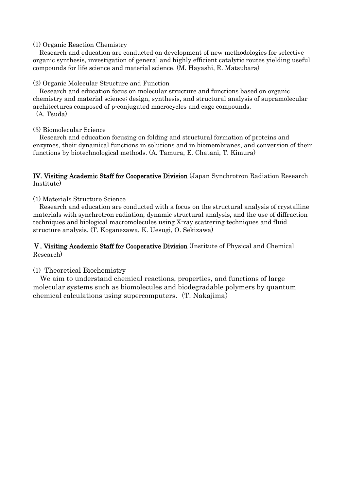## (1) Organic Reaction Chemistry

 Research and education are conducted on development of new methodologies for selective organic synthesis, investigation of general and highly efficient catalytic routes yielding useful compounds for life science and material science. (M. Hayashi, R. Matsubara)

## (2) Organic Molecular Structure and Function

 Research and education focus on molecular structure and functions based on organic chemistry and material science; design, synthesis, and structural analysis of supramolecular architectures composed of p-conjugated macrocycles and cage compounds. (A. Tsuda)

# (3) Biomolecular Science

 Research and education focusing on folding and structural formation of proteins and enzymes, their dynamical functions in solutions and in biomembranes, and conversion of their functions by biotechnological methods. (A. Tamura, E. Chatani, T. Kimura)

# IV. Visiting Academic Staff for Cooperative Division (Japan Synchrotron Radiation Research Institute)

(1) Materials Structure Science

 Research and education are conducted with a focus on the structural analysis of crystalline materials with synchrotron radiation, dynamic structural analysis, and the use of diffraction techniques and biological macromolecules using X-ray scattering techniques and fluid structure analysis. (T. Koganezawa, K. Uesugi, O. Sekizawa)

# Ⅴ. Visiting Academic Staff for Cooperative Division (Institute of Physical and Chemical Research)

# (1) Theoretical Biochemistry

 We aim to understand chemical reactions, properties, and functions of large molecular systems such as biomolecules and biodegradable polymers by quantum chemical calculations using supercomputers.(T. Nakajima)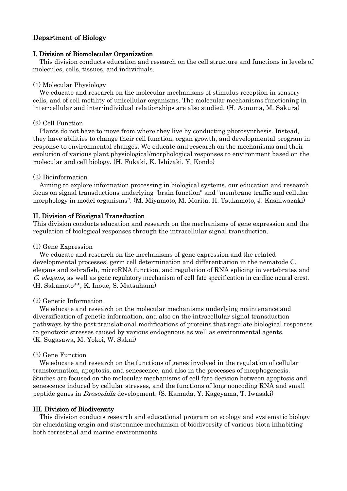# Department of Biology

# I. Division of Biomolecular Organization

 This division conducts education and research on the cell structure and functions in levels of molecules, cells, tissues, and individuals.

#### (1) Molecular Physiology

 We educate and research on the molecular mechanisms of stimulus reception in sensory cells, and of cell motility of unicellular organisms. The molecular mechanisms functioning in inter-cellular and inter-individual relationships are also studied. (H. Aonuma, M. Sakura)

# (2) Cell Function

 Plants do not have to move from where they live by conducting photosynthesis. Instead, they have abilities to change their cell function, organ growth, and developmental program in response to environmental changes. We educate and research on the mechanisms and their evolution of various plant physiological/morphological responses to environment based on the molecular and cell biology. (H. Fukaki, K. Ishizaki, Y. Kondo)

### (3) Bioinformation

 Aiming to explore information processing in biological systems, our education and research focus on signal transductions underlying "brain function" and "membrane traffic and cellular morphology in model organisms". (M. Miyamoto, M. Morita, H. Tsukamoto, J. Kashiwazaki)

## II. Division of Biosignal Transduction

This division conducts education and research on the mechanisms of gene expression and the regulation of biological responses through the intracellular signal transduction.

#### (1) Gene Expression

 We educate and research on the mechanisms of gene expression and the related developmental processes; germ cell determination and differentiation in the nematode C. elegans and zebrafish, microRNA function, and regulation of RNA splicing in vertebrates and C. elegans, as well as gene regulatory mechanism of cell fate specification in cardiac neural crest. (H. Sakamoto\*\*, K. Inoue, S. Matsuhana)

#### (2) Genetic Information

We educate and research on the molecular mechanisms underlying maintenance and diversification of genetic information, and also on the intracellular signal transduction pathways by the post-translational modifications of proteins that regulate biological responses to genotoxic stresses caused by various endogenous as well as environmental agents. (K. Sugasawa, M. Yokoi, W. Sakai)

#### (3) Gene Function

We educate and research on the functions of genes involved in the regulation of cellular transformation, apoptosis, and senescence, and also in the processes of morphogenesis. Studies are focused on the molecular mechanisms of cell fate decision between apoptosis and senescence induced by cellular stresses, and the functions of long noncoding RNA and small peptide genes in Drosophila development. (S. Kamada, Y. Kageyama, T. Iwasaki)

#### III. Division of Biodiversity

This division conducts research and educational program on ecology and systematic biology for elucidating origin and sustenance mechanism of biodiversity of various biota inhabiting both terrestrial and marine environments.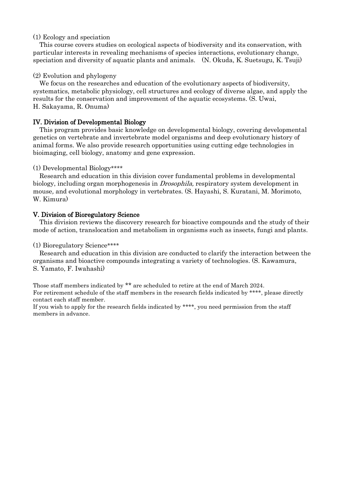# (1) Ecology and speciation

This course covers studies on ecological aspects of biodiversity and its conservation, with particular interests in revealing mechanisms of species interactions, evolutionary change, speciation and diversity of aquatic plants and animals. (N. Okuda, K. Suetsugu, K. Tsuji)

# (2) Evolution and phylogeny

 We focus on the researches and education of the evolutionary aspects of biodiversity, systematics, metabolic physiology, cell structures and ecology of diverse algae, and apply the results for the conservation and improvement of the aquatic ecosystems. (S. Uwai, H. Sakayama, R. Onuma)

# IV. Division of Developmental Biology

 This program provides basic knowledge on developmental biology, covering developmental genetics on vertebrate and invertebrate model organisms and deep evolutionary history of animal forms. We also provide research opportunities using cutting edge technologies in bioimaging, cell biology, anatomy and gene expression.

# (1) Developmental Biology\*\*\*\*

 Research and education in this division cover fundamental problems in developmental biology, including organ morphogenesis in *Drosophila*, respiratory system development in mouse, and evolutional morphology in vertebrates. (S. Hayashi, S. Kuratani, M. Morimoto, W. Kimura)

# V. Division of Bioregulatory Science

 This division reviews the discovery research for bioactive compounds and the study of their mode of action, translocation and metabolism in organisms such as insects, fungi and plants.

## (1) Bioregulatory Science\*\*\*\*

 Research and education in this division are conducted to clarify the interaction between the organisms and bioactive compounds integrating a variety of technologies. (S. Kawamura, S. Yamato, F. Iwahashi)

Those staff members indicated by \*\* are scheduled to retire at the end of March 2024. For retirement schedule of the staff members in the research fields indicated by \*\*\*\*, please directly contact each staff member.

If you wish to apply for the research fields indicated by \*\*\*\*, you need permission from the staff members in advance.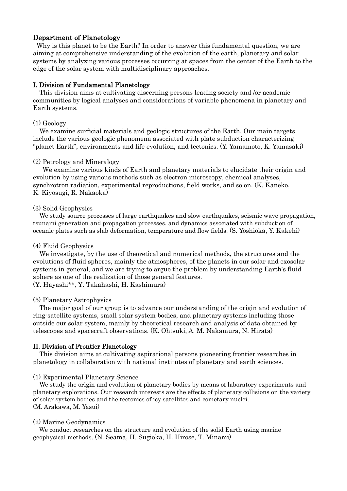# Department of Planetology

Why is this planet to be the Earth? In order to answer this fundamental question, we are aiming at comprehensive understanding of the evolution of the earth, planetary and solar systems by analyzing various processes occurring at spaces from the center of the Earth to the edge of the solar system with multidisciplinary approaches.

# I. Division of Fundamental Planetology

 This division aims at cultivating discerning persons leading society and /or academic communities by logical analyses and considerations of variable phenomena in planetary and Earth systems.

## (1) Geology

We examine surficial materials and geologic structures of the Earth. Our main targets include the various geologic phenomena associated with plate subduction characterizing "planet Earth", environments and life evolution, and tectonics. (Y. Yamamoto, K. Yamasaki)

# (2) Petrology and Mineralogy

We examine various kinds of Earth and planetary materials to elucidate their origin and evolution by using various methods such as electron microscopy, chemical analyses, synchrotron radiation, experimental reproductions, field works, and so on. (K. Kaneko, K. Kiyosugi, R. Nakaoka)

# (3) Solid Geophysics

We study source processes of large earthquakes and slow earthquakes, seismic wave propagation, tsunami generation and propagation processes, and dynamics associated with subduction of oceanic plates such as slab deformation, temperature and flow fields. (S. Yoshioka, Y. Kakehi)

# (4) Fluid Geophysics

We investigate, by the use of theoretical and numerical methods, the structures and the evolutions of fluid spheres, mainly the atmospheres, of the planets in our solar and exosolar systems in general, and we are trying to argue the problem by understanding Earth's fluid sphere as one of the realization of those general features. (Y. Hayashi\*\*, Y. Takahashi, H. Kashimura)

## (5) Planetary Astrophysics

The major goal of our group is to advance our understanding of the origin and evolution of ring-satellite systems, small solar system bodies, and planetary systems including those outside our solar system, mainly by theoretical research and analysis of data obtained by telescopes and spacecraft observations. (K. Ohtsuki, A. M. Nakamura, N. Hirata)

## II. Division of Frontier Planetology

 This division aims at cultivating aspirational persons pioneering frontier researches in planetology in collaboration with national institutes of planetary and earth sciences.

## (1) Experimental Planetary Science

 We study the origin and evolution of planetary bodies by means of laboratory experiments and planetary explorations. Our research interests are the effects of planetary collisions on the variety of solar system bodies and the tectonics of icy satellites and cometary nuclei. (M. Arakawa, M. Yasui)

## (2) Marine Geodynamics

We conduct researches on the structure and evolution of the solid Earth using marine geophysical methods. (N. Seama, H. Sugioka, H. Hirose, T. Minami)